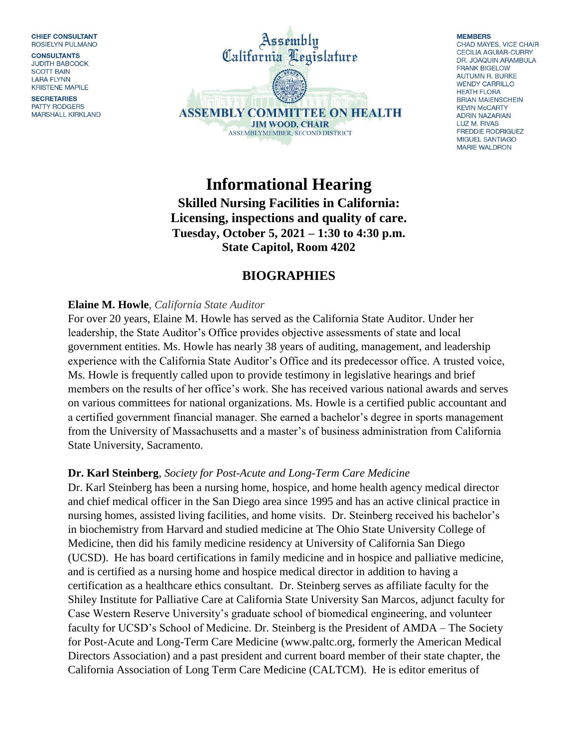**CHIEF CONSULTANT** ROSIELYN PULMANO

**CONSULTANTS JUDITH BABCOCK SCOTT BAIN LARA FLYNN KRISTENE MAPILE** 

**SECRETARIES** PATTY RODGERS **MARSHALL KIRKLAND** 



#### **MEMBERS** CHAD MAYES, VICE CHAIR **CECILIA AGUIAR-CURRY** DR. JOAQUIN ARAMBULA

**FRANK BIGELOW AUTUMN R. BURKE WENDY CARRILLO HEATH FLORA BRIAN MAIENSCHEIN KEVIN McCARTY ADRIN NAZARIAN** LUZ M. RIVAS **FREDDIE RODRIGUEZ** MIGUEL SANTIAGO **MARIE WALDRON** 

**Informational Hearing Skilled Nursing Facilities in California: Licensing, inspections and quality of care. Tuesday, October 5, 2021 – 1:30 to 4:30 p.m. State Capitol, Room 4202**

# **BIOGRAPHIES**

# **Elaine M. Howle**, *California State Auditor*

For over 20 years, Elaine M. Howle has served as the California State Auditor. Under her leadership, the State Auditor's Office provides objective assessments of state and local government entities. Ms. Howle has nearly 38 years of auditing, management, and leadership experience with the California State Auditor's Office and its predecessor office. A trusted voice, Ms. Howle is frequently called upon to provide testimony in legislative hearings and brief members on the results of her office's work. She has received various national awards and serves on various committees for national organizations. Ms. Howle is a certified public accountant and a certified government financial manager. She earned a bachelor's degree in sports management from the University of Massachusetts and a master's of business administration from California State University, Sacramento.

### **Dr. Karl Steinberg**, *Society for Post-Acute and Long-Term Care Medicine*

Dr. Karl Steinberg has been a nursing home, hospice, and home health agency medical director and chief medical officer in the San Diego area since 1995 and has an active clinical practice in nursing homes, assisted living facilities, and home visits. Dr. Steinberg received his bachelor's in biochemistry from Harvard and studied medicine at The Ohio State University College of Medicine, then did his family medicine residency at University of California San Diego (UCSD). He has board certifications in family medicine and in hospice and palliative medicine, and is certified as a nursing home and hospice medical director in addition to having a certification as a healthcare ethics consultant. Dr. Steinberg serves as affiliate faculty for the Shiley Institute for Palliative Care at California State University San Marcos, adjunct faculty for Case Western Reserve University's graduate school of biomedical engineering, and volunteer faculty for UCSD's School of Medicine. Dr. Steinberg is the President of AMDA – The Society for Post-Acute and Long-Term Care Medicine [\(www.paltc.org,](http://www.paltc.org/) formerly the American Medical Directors Association) and a past president and current board member of their state chapter, the California Association of Long Term Care Medicine (CALTCM). He is editor emeritus of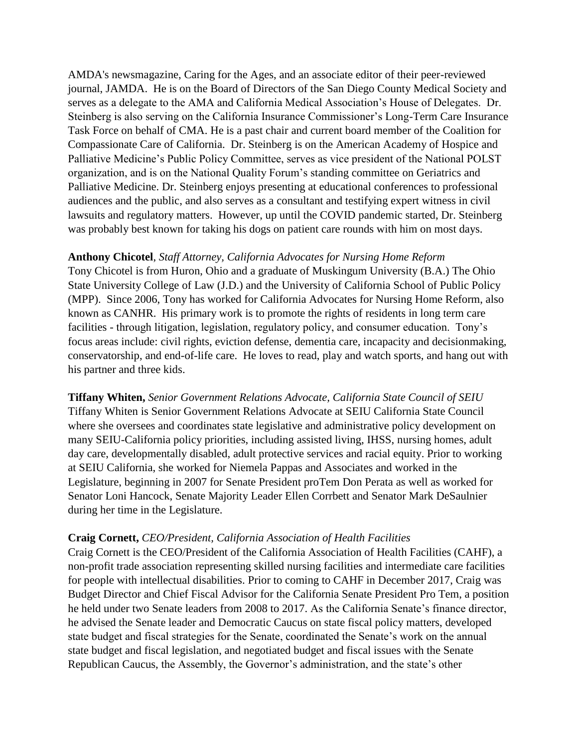AMDA's newsmagazine, Caring for the Ages, and an associate editor of their peer-reviewed journal, JAMDA. He is on the Board of Directors of the San Diego County Medical Society and serves as a delegate to the AMA and California Medical Association's House of Delegates. Dr. Steinberg is also serving on the California Insurance Commissioner's Long-Term Care Insurance Task Force on behalf of CMA. He is a past chair and current board member of the Coalition for Compassionate Care of California. Dr. Steinberg is on the American Academy of Hospice and Palliative Medicine's Public Policy Committee, serves as vice president of the National POLST organization, and is on the National Quality Forum's standing committee on Geriatrics and Palliative Medicine. Dr. Steinberg enjoys presenting at educational conferences to professional audiences and the public, and also serves as a consultant and testifying expert witness in civil lawsuits and regulatory matters. However, up until the COVID pandemic started, Dr. Steinberg was probably best known for taking his dogs on patient care rounds with him on most days.

### **Anthony Chicotel**, *Staff Attorney, California Advocates for Nursing Home Reform*

Tony Chicotel is from Huron, Ohio and a graduate of Muskingum University (B.A.) The Ohio State University College of Law (J.D.) and the University of California School of Public Policy (MPP). Since 2006, Tony has worked for California Advocates for Nursing Home Reform, also known as CANHR. His primary work is to promote the rights of residents in long term care facilities - through litigation, legislation, regulatory policy, and consumer education. Tony's focus areas include: civil rights, eviction defense, dementia care, incapacity and decisionmaking, conservatorship, and end-of-life care. He loves to read, play and watch sports, and hang out with his partner and three kids.

**Tiffany Whiten,** *Senior Government Relations Advocate, California State Council of SEIU* Tiffany Whiten is Senior Government Relations Advocate at SEIU California State Council where she oversees and coordinates state legislative and administrative policy development on many SEIU-California policy priorities, including assisted living, IHSS, nursing homes, adult day care, developmentally disabled, adult protective services and racial equity. Prior to working at SEIU California, she worked for Niemela Pappas and Associates and worked in the Legislature, beginning in 2007 for Senate President proTem Don Perata as well as worked for Senator Loni Hancock, Senate Majority Leader Ellen Corrbett and Senator Mark DeSaulnier during her time in the Legislature.

#### **Craig Cornett,** *CEO/President, California Association of Health Facilities*

Craig Cornett is the CEO/President of the California Association of Health Facilities (CAHF), a non-profit trade association representing skilled nursing facilities and intermediate care facilities for people with intellectual disabilities. Prior to coming to CAHF in December 2017, Craig was Budget Director and Chief Fiscal Advisor for the California Senate President Pro Tem, a position he held under two Senate leaders from 2008 to 2017. As the California Senate's finance director, he advised the Senate leader and Democratic Caucus on state fiscal policy matters, developed state budget and fiscal strategies for the Senate, coordinated the Senate's work on the annual state budget and fiscal legislation, and negotiated budget and fiscal issues with the Senate Republican Caucus, the Assembly, the Governor's administration, and the state's other